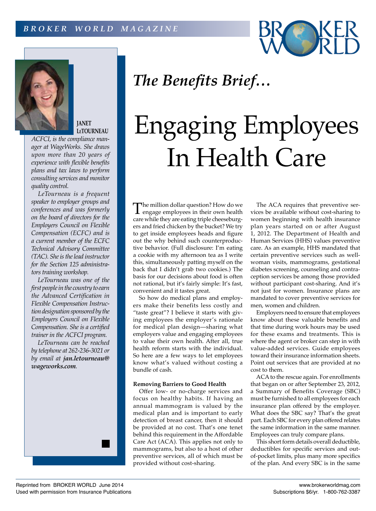



# **JANET LeTOURNEAU**

*ACFCI, is the compliance manager at WageWorks. She draws upon more than 20 years of experience with flexible benefits plans and tax laws to perform consulting services and monitor quality control.*

*LeTourneau is a frequent speaker to employer groups and conferences and was formerly on the board of directors for the Employers Council on Flexible Compensation (ECFC) and is a current member of the ECFC Technical Advisory Committee (TAC). She is the lead instructor for the Section 125 administrators training workshop.*

*LeTourneau was one of the first people in the country to earn the Advanced Certification in Flexible Compensation Instruction designation sponsored by the Employers Council on Flexible Compensation. She is a certified trainer in the ACFCI program.*

*LeTourneau can be reached by telephone at 262-236-3021 or by email at jan.letourneau@ wageworks.com.*



Offer low- or no-charge services and focus on healthy habits. If having an annual mammogram is valued by the medical plan and is important to early detection of breast cancer, then it should be provided at no cost. That's one tenet behind this requirement in the Affordable Care Act (ACA). This applies not only to mammograms, but also to a host of other preventive services, all of which must be provided without cost-sharing.

The ACA requires that preventive services be available without cost-sharing to women beginning with health insurance plan years started on or after August 1, 2012. The Department of Health and Human Services (HHS) values preventive care. As an example, HHS mandated that certain preventive services such as wellwoman visits, mammograms, gestational diabetes screening, counseling and contraception services be among those provided without participant cost-sharing. And it's not just for women. Insurance plans are mandated to cover preventive services for men, women and children.

Employers need to ensure that employees know about these valuable benefits and that time during work hours may be used for these exams and treatments. This is where the agent or broker can step in with value-added services. Guide employees toward their insurance information sheets. Point out services that are provided at no cost to them.

ACA to the rescue again. For enrollments that began on or after September 23, 2012, a Summary of Benefits Coverage (SBC) must be furnished to all employees for each insurance plan offered by the employer. What does the SBC say? That's the great part. Each SBC for every plan offered relates the same information in the same manner. Employees can truly compare plans.

This short form details overall deductible, deductibles for specific services and outof-pocket limits, plus many more specifics of the plan. And every SBC is in the same

# *The Benefits Brief…*

The million dollar question? How do we engage employees in their own health care while they are eating triple cheeseburgers and fried chicken by the bucket? We try to get inside employees heads and figure out the why behind such counterproductive behavior. (Full disclosure: I'm eating a cookie with my afternoon tea as I write this, simultaneously patting myself on the back that I didn't grab two cookies.) The basis for our decisions about food is often not rational, but it's fairly simple: It's fast,

Engaging Employees

In Health Care

So how do medical plans and employers make their benefits less costly and "taste great"? I believe it starts with giving employees the employer's rationale for medical plan design—sharing what

convenient and it tastes great.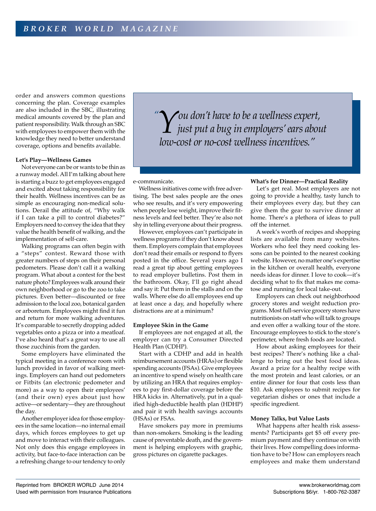order and answers common questions concerning the plan. Coverage examples are also included in the SBC, illustrating medical amounts covered by the plan and patient responsibility. Walk through an SBC with employees to empower them with the knowledge they need to better understand coverage, options and benefits available.

### **Let's Play—Wellness Games**

Not everyone can be or wants to be thin as a runway model. All I'm talking about here is starting a buzz to get employees engaged and excited about taking responsibility for their health. Wellness incentives can be as simple as encouraging non-medical solutions. Derail the attitude of, "Why walk if I can take a pill to control diabetes?" Employers need to convey the idea that they value the health benefit of walking, and the implementation of self-care.

Walking programs can often begin with a "steps" contest. Reward those with greater numbers of steps on their personal pedometers. Please don't call it a walking program. What about a contest for the best nature photo? Employees walk around their own neighborhood or go to the zoo to take pictures. Even better—discounted or free admission to the local zoo, botanical garden or arboretum. Employees might find it fun and return for more walking adventures. It's comparable to secretly dropping added vegetables onto a pizza or into a meatloaf. I've also heard that's a great way to use all those zucchinis from the garden.

Some employers have eliminated the typical meeting in a conference room with lunch provided in favor of walking meetings. Employers can hand out pedometers or Fitbits (an electronic pedometer and more) as a way to open their employees' (and their own) eyes about just how active—or sedentary—they are throughout the day.

Another employer idea for those employees in the same location—no internal email days, which forces employees to get up and move to interact with their colleagues. Not only does this engage employees in activity, but face-to-face interaction can be a refreshing change to our tendency to only *Y*<sup>*ou don't have to be a wellness expert,*<br>*Journalisty in a bug in employers' ears abou*<br>*Journalisty of or no cost vuellness incontines*."</sup> *just put a bug in employers' ears about low-cost or no-cost wellness incentives."*

e-communicate.

*"*

Wellness initiatives come with free advertising. The best sales people are the ones who see results, and it's very empowering when people lose weight, improve their fitness levels and feel better. They're also not shy in telling everyone about their progress.

However, employees can't participate in wellness programs if they don't know about them. Employers complain that employees don't read their emails or respond to flyers posted in the office. Several years ago I read a great tip about getting employees to read employer bulletins. Post them in the bathroom. Okay, I'll go right ahead and say it: Put them in the stalls and on the walls. Where else do all employees end up at least once a day, and hopefully where distractions are at a minimum?

#### **Employee Skin in the Game**

If employees are not engaged at all, the employer can try a Consumer Directed Health Plan (CDHP).

Start with a CDHP and add in health reimbursement accounts (HRAs) or flexible spending accounts (FSAs). Give employees an incentive to spend wisely on health care by utilizing an HRA that requires employees to pay first-dollar coverage before the HRA kicks in. Alternatively, put in a qualified high-deductible health plan (HDHP) and pair it with health savings accounts (HSAs) or FSAs.

Have smokers pay more in premiums than non-smokers. Smoking is the leading cause of preventable death, and the government is helping employers with graphic, gross pictures on cigarette packages.

## **What's for Dinner—Practical Reality**

Let's get real. Most employers are not going to provide a healthy, tasty lunch to their employees every day, but they can give them the gear to survive dinner at home. There's a plethora of ideas to pull off the internet.

A week's worth of recipes and shopping lists are available from many websites. Workers who feel they need cooking lessons can be pointed to the nearest cooking website. However, no matter one's expertise in the kitchen or overall health, everyone needs ideas for dinner. I love to cook—it's deciding what to fix that makes me comatose and running for local take-out.

Employers can check out neighborhood grocery stores and weight reduction programs. Most full-service grocery stores have nutritionists on staff who will talk to groups and even offer a walking tour of the store. Encourage employees to stick to the store's perimeter, where fresh foods are located.

How about asking employees for their best recipes? There's nothing like a challenge to bring out the best food ideas. Award a prize for a healthy recipe with the most protein and least calories, or an entire dinner for four that costs less than \$10. Ask employees to submit recipes for vegetarian dishes or ones that include a specific ingredient.

#### **Money Talks, but Value Lasts**

What happens after health risk assessments? Participants get \$5 off every premium payment and they continue on with their lives. How compelling does information have to be? How can employers reach employees and make them understand